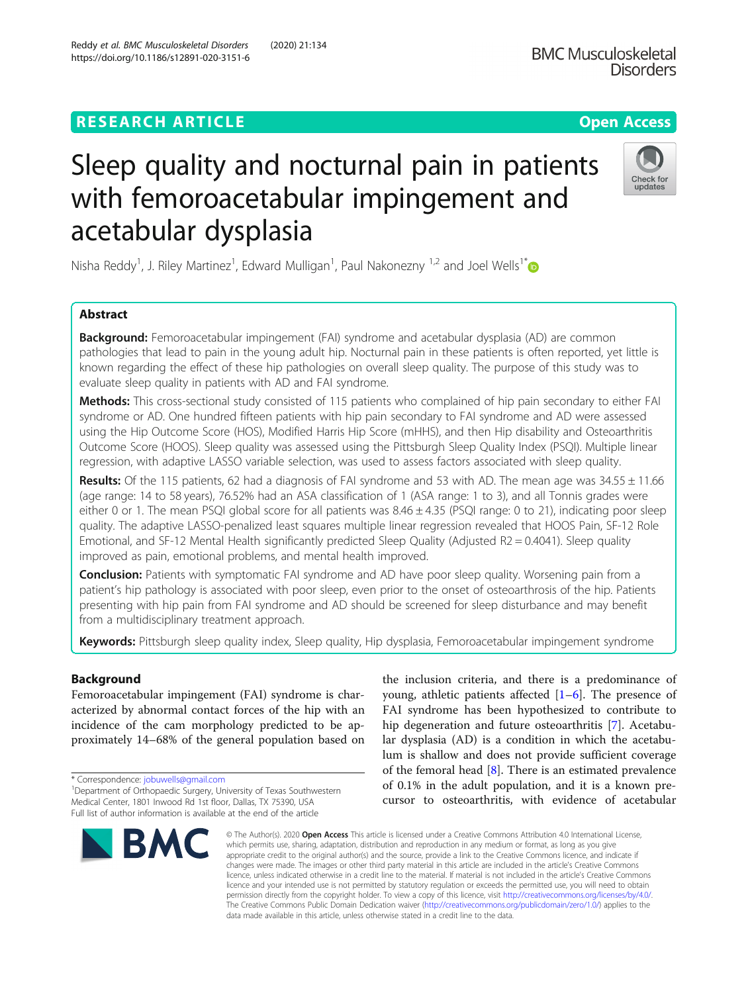## **RESEARCH ARTICLE Example 2014 12:30 The Contract of Contract ACCESS**

# Sleep quality and nocturnal pain in patients with femoroacetabular impingement and acetabular dysplasia

Nisha Reddy<sup>1</sup>, J. Riley Martinez<sup>1</sup>, Edward Mulligan<sup>1</sup>, Paul Nakonezny <sup>1,2</sup> and Joel Wells<sup>1[\\*](http://orcid.org/0000-0002-4784-2665)</sup>

## Abstract

**Background:** Femoroacetabular impingement (FAI) syndrome and acetabular dysplasia (AD) are common pathologies that lead to pain in the young adult hip. Nocturnal pain in these patients is often reported, yet little is known regarding the effect of these hip pathologies on overall sleep quality. The purpose of this study was to evaluate sleep quality in patients with AD and FAI syndrome.

Methods: This cross-sectional study consisted of 115 patients who complained of hip pain secondary to either FAI syndrome or AD. One hundred fifteen patients with hip pain secondary to FAI syndrome and AD were assessed using the Hip Outcome Score (HOS), Modified Harris Hip Score (mHHS), and then Hip disability and Osteoarthritis Outcome Score (HOOS). Sleep quality was assessed using the Pittsburgh Sleep Quality Index (PSQI). Multiple linear regression, with adaptive LASSO variable selection, was used to assess factors associated with sleep quality.

**Results:** Of the 115 patients, 62 had a diagnosis of FAI syndrome and 53 with AD. The mean age was  $34.55 \pm 11.66$ (age range: 14 to 58 years), 76.52% had an ASA classification of 1 (ASA range: 1 to 3), and all Tonnis grades were either 0 or 1. The mean PSQI global score for all patients was 8.46 ± 4.35 (PSQI range: 0 to 21), indicating poor sleep quality. The adaptive LASSO-penalized least squares multiple linear regression revealed that HOOS Pain, SF-12 Role Emotional, and SF-12 Mental Health significantly predicted Sleep Quality (Adjusted R2 = 0.4041). Sleep quality improved as pain, emotional problems, and mental health improved.

**Conclusion:** Patients with symptomatic FAI syndrome and AD have poor sleep quality. Worsening pain from a patient's hip pathology is associated with poor sleep, even prior to the onset of osteoarthrosis of the hip. Patients presenting with hip pain from FAI syndrome and AD should be screened for sleep disturbance and may benefit from a multidisciplinary treatment approach.

Keywords: Pittsburgh sleep quality index, Sleep quality, Hip dysplasia, Femoroacetabular impingement syndrome

### Background

Femoroacetabular impingement (FAI) syndrome is characterized by abnormal contact forces of the hip with an incidence of the cam morphology predicted to be approximately 14–68% of the general population based on

\* Correspondence: [jobuwells@gmail.com](mailto:jobuwells@gmail.com) <sup>1</sup>

https://doi.org/10.1186/s12891-020-3151-6

© The Author(s), 2020 **Open Access** This article is licensed under a Creative Commons Attribution 4.0 International License, which permits use, sharing, adaptation, distribution and reproduction in any medium or format, as long as you give appropriate credit to the original author(s) and the source, provide a link to the Creative Commons licence, and indicate if changes were made. The images or other third party material in this article are included in the article's Creative Commons licence, unless indicated otherwise in a credit line to the material. If material is not included in the article's Creative Commons licence and your intended use is not permitted by statutory regulation or exceeds the permitted use, you will need to obtain permission directly from the copyright holder. To view a copy of this licence, visit [http://creativecommons.org/licenses/by/4.0/.](http://creativecommons.org/licenses/by/4.0/) The Creative Commons Public Domain Dedication waiver [\(http://creativecommons.org/publicdomain/zero/1.0/](http://creativecommons.org/publicdomain/zero/1.0/)) applies to the data made available in this article, unless otherwise stated in a credit line to the data.

young, athletic patients affected  $[1-6]$  $[1-6]$  $[1-6]$ . The presence of FAI syndrome has been hypothesized to contribute to hip degeneration and future osteoarthritis [\[7](#page-6-0)]. Acetabular dysplasia (AD) is a condition in which the acetabulum is shallow and does not provide sufficient coverage of the femoral head [[8\]](#page-6-0). There is an estimated prevalence of 0.1% in the adult population, and it is a known precursor to osteoarthritis, with evidence of acetabular

the inclusion criteria, and there is a predominance of







<sup>&</sup>lt;sup>1</sup> Department of Orthopaedic Surgery, University of Texas Southwestern Medical Center, 1801 Inwood Rd 1st floor, Dallas, TX 75390, USA Full list of author information is available at the end of the article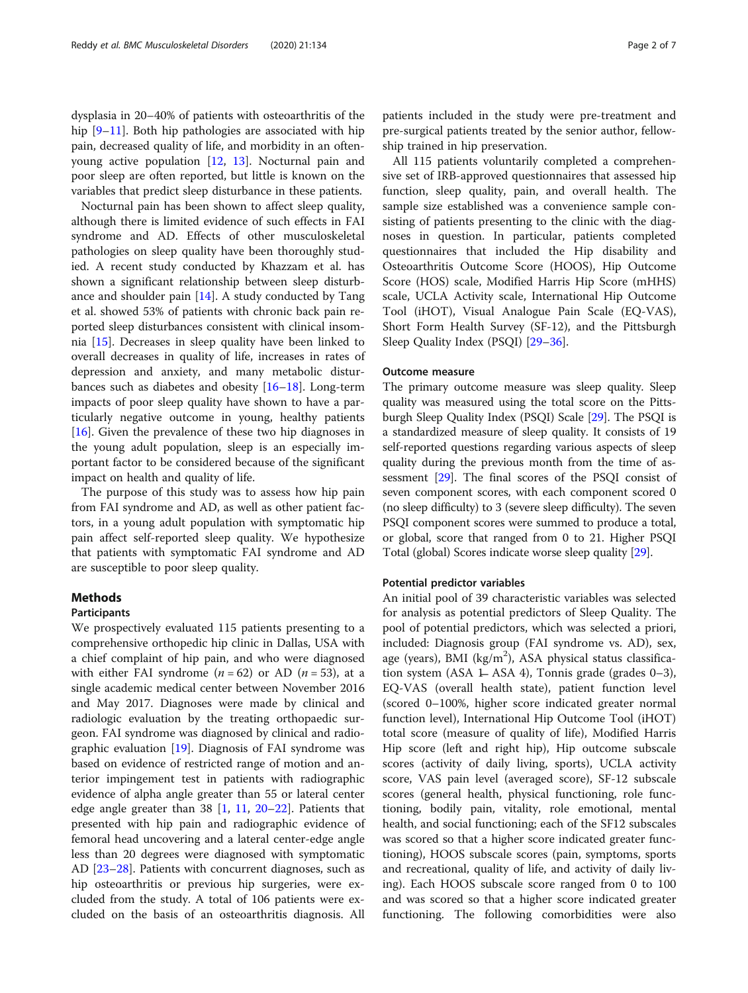dysplasia in 20–40% of patients with osteoarthritis of the hip  $[9-11]$  $[9-11]$  $[9-11]$  $[9-11]$ . Both hip pathologies are associated with hip pain, decreased quality of life, and morbidity in an oftenyoung active population [\[12,](#page-6-0) [13](#page-6-0)]. Nocturnal pain and poor sleep are often reported, but little is known on the variables that predict sleep disturbance in these patients.

Nocturnal pain has been shown to affect sleep quality, although there is limited evidence of such effects in FAI syndrome and AD. Effects of other musculoskeletal pathologies on sleep quality have been thoroughly studied. A recent study conducted by Khazzam et al. has shown a significant relationship between sleep disturbance and shoulder pain  $[14]$  $[14]$ . A study conducted by Tang et al. showed 53% of patients with chronic back pain reported sleep disturbances consistent with clinical insomnia [\[15](#page-6-0)]. Decreases in sleep quality have been linked to overall decreases in quality of life, increases in rates of depression and anxiety, and many metabolic disturbances such as diabetes and obesity [\[16](#page-6-0)–[18\]](#page-6-0). Long-term impacts of poor sleep quality have shown to have a particularly negative outcome in young, healthy patients [[16\]](#page-6-0). Given the prevalence of these two hip diagnoses in the young adult population, sleep is an especially important factor to be considered because of the significant impact on health and quality of life.

The purpose of this study was to assess how hip pain from FAI syndrome and AD, as well as other patient factors, in a young adult population with symptomatic hip pain affect self-reported sleep quality. We hypothesize that patients with symptomatic FAI syndrome and AD are susceptible to poor sleep quality.

#### Methods

#### Participants

We prospectively evaluated 115 patients presenting to a comprehensive orthopedic hip clinic in Dallas, USA with a chief complaint of hip pain, and who were diagnosed with either FAI syndrome  $(n = 62)$  or AD  $(n = 53)$ , at a single academic medical center between November 2016 and May 2017. Diagnoses were made by clinical and radiologic evaluation by the treating orthopaedic surgeon. FAI syndrome was diagnosed by clinical and radiographic evaluation [\[19](#page-6-0)]. Diagnosis of FAI syndrome was based on evidence of restricted range of motion and anterior impingement test in patients with radiographic evidence of alpha angle greater than 55 or lateral center edge angle greater than  $38 \, [1, 11, 20-22]$  $38 \, [1, 11, 20-22]$  $38 \, [1, 11, 20-22]$  $38 \, [1, 11, 20-22]$  $38 \, [1, 11, 20-22]$  $38 \, [1, 11, 20-22]$  $38 \, [1, 11, 20-22]$  $38 \, [1, 11, 20-22]$ . Patients that presented with hip pain and radiographic evidence of femoral head uncovering and a lateral center-edge angle less than 20 degrees were diagnosed with symptomatic AD [\[23](#page-6-0)–[28\]](#page-6-0). Patients with concurrent diagnoses, such as hip osteoarthritis or previous hip surgeries, were excluded from the study. A total of 106 patients were excluded on the basis of an osteoarthritis diagnosis. All

patients included in the study were pre-treatment and pre-surgical patients treated by the senior author, fellowship trained in hip preservation.

All 115 patients voluntarily completed a comprehensive set of IRB-approved questionnaires that assessed hip function, sleep quality, pain, and overall health. The sample size established was a convenience sample consisting of patients presenting to the clinic with the diagnoses in question. In particular, patients completed questionnaires that included the Hip disability and Osteoarthritis Outcome Score (HOOS), Hip Outcome Score (HOS) scale, Modified Harris Hip Score (mHHS) scale, UCLA Activity scale, International Hip Outcome Tool (iHOT), Visual Analogue Pain Scale (EQ-VAS), Short Form Health Survey (SF-12), and the Pittsburgh Sleep Quality Index (PSQI) [\[29](#page-6-0)–[36\]](#page-6-0).

#### Outcome measure

The primary outcome measure was sleep quality. Sleep quality was measured using the total score on the Pittsburgh Sleep Quality Index (PSQI) Scale [\[29\]](#page-6-0). The PSQI is a standardized measure of sleep quality. It consists of 19 self-reported questions regarding various aspects of sleep quality during the previous month from the time of assessment [\[29\]](#page-6-0). The final scores of the PSQI consist of seven component scores, with each component scored 0 (no sleep difficulty) to 3 (severe sleep difficulty). The seven PSQI component scores were summed to produce a total, or global, score that ranged from 0 to 21. Higher PSQI Total (global) Scores indicate worse sleep quality [\[29\]](#page-6-0).

#### Potential predictor variables

An initial pool of 39 characteristic variables was selected for analysis as potential predictors of Sleep Quality. The pool of potential predictors, which was selected a priori, included: Diagnosis group (FAI syndrome vs. AD), sex, age (years), BMI (kg/m<sup>2</sup>), ASA physical status classification system (ASA  $\perp$  ASA 4), Tonnis grade (grades 0–3), EQ-VAS (overall health state), patient function level (scored 0–100%, higher score indicated greater normal function level), International Hip Outcome Tool (iHOT) total score (measure of quality of life), Modified Harris Hip score (left and right hip), Hip outcome subscale scores (activity of daily living, sports), UCLA activity score, VAS pain level (averaged score), SF-12 subscale scores (general health, physical functioning, role functioning, bodily pain, vitality, role emotional, mental health, and social functioning; each of the SF12 subscales was scored so that a higher score indicated greater functioning), HOOS subscale scores (pain, symptoms, sports and recreational, quality of life, and activity of daily living). Each HOOS subscale score ranged from 0 to 100 and was scored so that a higher score indicated greater functioning. The following comorbidities were also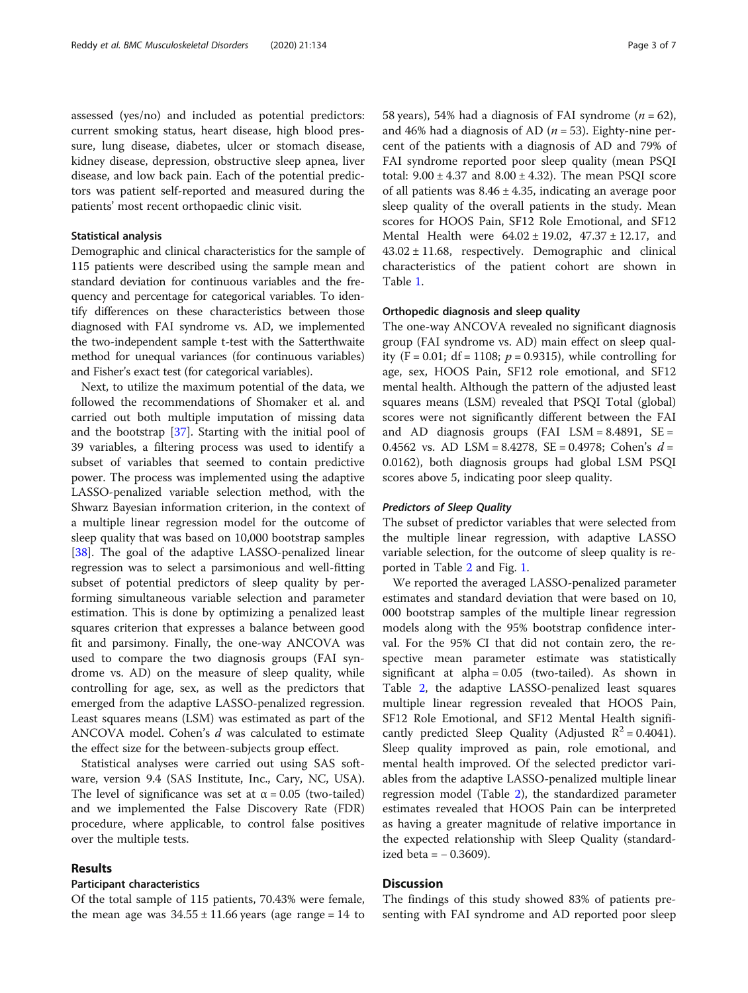assessed (yes/no) and included as potential predictors: current smoking status, heart disease, high blood pressure, lung disease, diabetes, ulcer or stomach disease, kidney disease, depression, obstructive sleep apnea, liver disease, and low back pain. Each of the potential predictors was patient self-reported and measured during the patients' most recent orthopaedic clinic visit.

#### Statistical analysis

Demographic and clinical characteristics for the sample of 115 patients were described using the sample mean and standard deviation for continuous variables and the frequency and percentage for categorical variables. To identify differences on these characteristics between those diagnosed with FAI syndrome vs. AD, we implemented the two-independent sample t-test with the Satterthwaite method for unequal variances (for continuous variables) and Fisher's exact test (for categorical variables).

Next, to utilize the maximum potential of the data, we followed the recommendations of Shomaker et al. and carried out both multiple imputation of missing data and the bootstrap [[37\]](#page-6-0). Starting with the initial pool of 39 variables, a filtering process was used to identify a subset of variables that seemed to contain predictive power. The process was implemented using the adaptive LASSO-penalized variable selection method, with the Shwarz Bayesian information criterion, in the context of a multiple linear regression model for the outcome of sleep quality that was based on 10,000 bootstrap samples [[38\]](#page-6-0). The goal of the adaptive LASSO-penalized linear regression was to select a parsimonious and well-fitting subset of potential predictors of sleep quality by performing simultaneous variable selection and parameter estimation. This is done by optimizing a penalized least squares criterion that expresses a balance between good fit and parsimony. Finally, the one-way ANCOVA was used to compare the two diagnosis groups (FAI syndrome vs. AD) on the measure of sleep quality, while controlling for age, sex, as well as the predictors that emerged from the adaptive LASSO-penalized regression. Least squares means (LSM) was estimated as part of the ANCOVA model. Cohen's d was calculated to estimate the effect size for the between-subjects group effect.

Statistical analyses were carried out using SAS software, version 9.4 (SAS Institute, Inc., Cary, NC, USA). The level of significance was set at  $\alpha = 0.05$  (two-tailed) and we implemented the False Discovery Rate (FDR) procedure, where applicable, to control false positives over the multiple tests.

#### Results

#### Participant characteristics

Of the total sample of 115 patients, 70.43% were female, the mean age was  $34.55 \pm 11.66$  years (age range = 14 to

58 years), 54% had a diagnosis of FAI syndrome  $(n = 62)$ , and 46% had a diagnosis of AD ( $n = 53$ ). Eighty-nine percent of the patients with a diagnosis of AD and 79% of FAI syndrome reported poor sleep quality (mean PSQI total:  $9.00 \pm 4.37$  and  $8.00 \pm 4.32$ ). The mean PSQI score of all patients was  $8.46 \pm 4.35$ , indicating an average poor sleep quality of the overall patients in the study. Mean scores for HOOS Pain, SF12 Role Emotional, and SF12 Mental Health were 64.02 ± 19.02, 47.37 ± 12.17, and 43.02 ± 11.68, respectively. Demographic and clinical characteristics of the patient cohort are shown in Table [1.](#page-3-0)

#### Orthopedic diagnosis and sleep quality

The one-way ANCOVA revealed no significant diagnosis group (FAI syndrome vs. AD) main effect on sleep quality (F = 0.01; df = 1108;  $p = 0.9315$ ), while controlling for age, sex, HOOS Pain, SF12 role emotional, and SF12 mental health. Although the pattern of the adjusted least squares means (LSM) revealed that PSQI Total (global) scores were not significantly different between the FAI and AD diagnosis groups (FAI LSM =  $8.4891$ , SE = 0.4562 vs. AD LSM = 8.4278, SE = 0.4978; Cohen's  $d =$ 0.0162), both diagnosis groups had global LSM PSQI scores above 5, indicating poor sleep quality.

#### Predictors of Sleep Quality

The subset of predictor variables that were selected from the multiple linear regression, with adaptive LASSO variable selection, for the outcome of sleep quality is reported in Table [2](#page-4-0) and Fig. [1.](#page-4-0)

We reported the averaged LASSO-penalized parameter estimates and standard deviation that were based on 10, 000 bootstrap samples of the multiple linear regression models along with the 95% bootstrap confidence interval. For the 95% CI that did not contain zero, the respective mean parameter estimate was statistically significant at alpha = 0.05 (two-tailed). As shown in Table [2,](#page-4-0) the adaptive LASSO-penalized least squares multiple linear regression revealed that HOOS Pain, SF12 Role Emotional, and SF12 Mental Health significantly predicted Sleep Quality (Adjusted  $\mathbb{R}^2$  = 0.4041). Sleep quality improved as pain, role emotional, and mental health improved. Of the selected predictor variables from the adaptive LASSO-penalized multiple linear regression model (Table [2\)](#page-4-0), the standardized parameter estimates revealed that HOOS Pain can be interpreted as having a greater magnitude of relative importance in the expected relationship with Sleep Quality (standardized beta =  $-0.3609$ ).

#### **Discussion**

The findings of this study showed 83% of patients presenting with FAI syndrome and AD reported poor sleep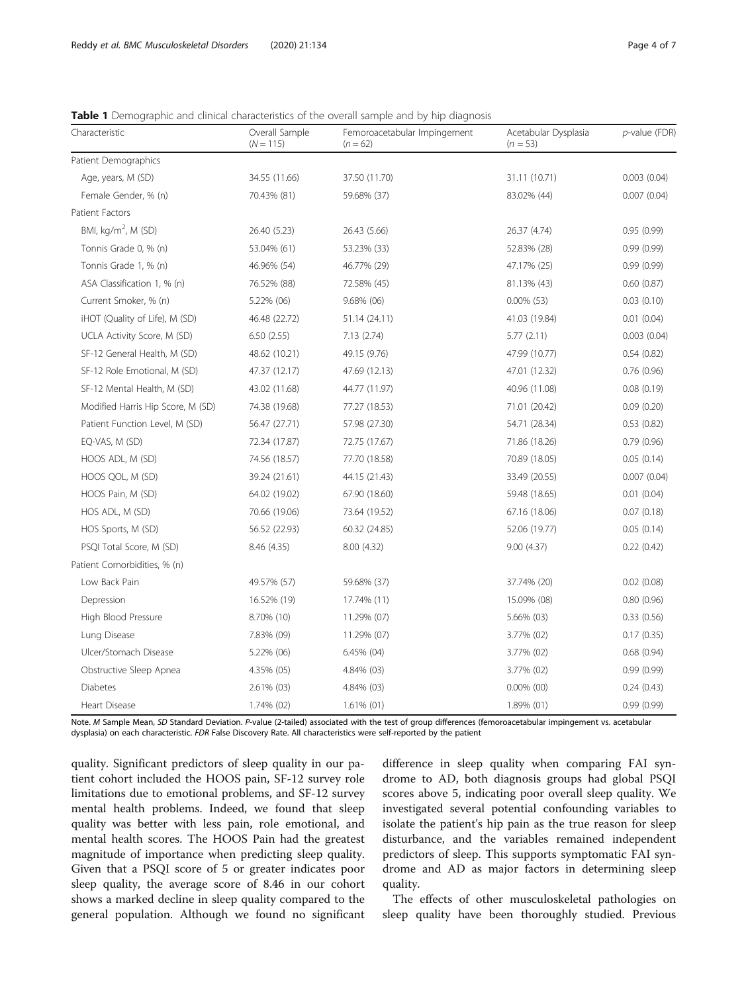<span id="page-3-0"></span>Table 1 Demographic and clinical characteristics of the overall sample and by hip diagnosis

| Characteristic                    | Overall Sample<br>Femoroacetabular Impingement<br>$(N = 115)$<br>$(n = 62)$ |                                | Acetabular Dysplasia<br>$(n = 53)$ | p-value (FDR) |  |
|-----------------------------------|-----------------------------------------------------------------------------|--------------------------------|------------------------------------|---------------|--|
| Patient Demographics              |                                                                             |                                |                                    |               |  |
| Age, years, M (SD)                | 34.55 (11.66)                                                               | 37.50 (11.70)                  | 31.11 (10.71)                      | 0.003(0.04)   |  |
| Female Gender, % (n)              | 70.43% (81)                                                                 | 59.68% (37)                    | 83.02% (44)                        | 0.007(0.04)   |  |
| Patient Factors                   |                                                                             |                                |                                    |               |  |
| BMI, $kg/m2$ , M (SD)             | 26.40 (5.23)                                                                | 26.43 (5.66)                   | 26.37 (4.74)                       | 0.95(0.99)    |  |
| Tonnis Grade 0, % (n)             | 53.04% (61)                                                                 | 53.23% (33)                    | 52.83% (28)                        | 0.99(0.99)    |  |
| Tonnis Grade 1, % (n)             | 46.96% (54)                                                                 | 46.77% (29)                    | 47.17% (25)                        | 0.99(0.99)    |  |
| ASA Classification 1, % (n)       | 76.52% (88)                                                                 | 72.58% (45)                    | 81.13% (43)                        | 0.60(0.87)    |  |
| Current Smoker, % (n)             | 5.22% (06)                                                                  | 9.68% (06)                     | $0.00\%$ (53)                      | 0.03(0.10)    |  |
| iHOT (Quality of Life), M (SD)    | 46.48 (22.72)                                                               | 51.14 (24.11)                  | 41.03 (19.84)                      | 0.01(0.04)    |  |
| UCLA Activity Score, M (SD)       | 6.50(2.55)                                                                  | 7.13 (2.74)                    | 5.77(2.11)                         | 0.003(0.04)   |  |
| SF-12 General Health, M (SD)      | 48.62 (10.21)                                                               | 49.15 (9.76)                   | 47.99 (10.77)                      | 0.54(0.82)    |  |
| SF-12 Role Emotional, M (SD)      | 47.37 (12.17)                                                               | 47.69 (12.13)<br>47.01 (12.32) |                                    | 0.76(0.96)    |  |
| SF-12 Mental Health, M (SD)       | 43.02 (11.68)                                                               | 44.77 (11.97)                  | 40.96 (11.08)                      | 0.08(0.19)    |  |
| Modified Harris Hip Score, M (SD) | 74.38 (19.68)                                                               | 77.27 (18.53)                  | 71.01 (20.42)                      | 0.09(0.20)    |  |
| Patient Function Level, M (SD)    | 56.47 (27.71)                                                               | 57.98 (27.30)                  | 54.71 (28.34)                      | 0.53(0.82)    |  |
| EQ-VAS, M (SD)                    | 72.34 (17.87)                                                               | 72.75 (17.67)                  | 71.86 (18.26)                      | 0.79(0.96)    |  |
| HOOS ADL, M (SD)                  | 74.56 (18.57)                                                               | 77.70 (18.58)                  | 70.89 (18.05)                      | 0.05(0.14)    |  |
| HOOS QOL, M (SD)                  | 39.24 (21.61)                                                               | 44.15 (21.43)                  | 33.49 (20.55)                      | 0.007(0.04)   |  |
| HOOS Pain, M (SD)                 | 64.02 (19.02)                                                               | 67.90 (18.60)                  | 59.48 (18.65)                      | 0.01(0.04)    |  |
| HOS ADL, M (SD)                   | 70.66 (19.06)                                                               | 73.64 (19.52)                  | 67.16 (18.06)                      | 0.07(0.18)    |  |
| HOS Sports, M (SD)                | 56.52 (22.93)                                                               | 60.32 (24.85)<br>52.06 (19.77) |                                    | 0.05(0.14)    |  |
| PSQI Total Score, M (SD)          | 8.46 (4.35)                                                                 | 8.00 (4.32)                    | 9.00 (4.37)                        | 0.22(0.42)    |  |
| Patient Comorbidities, % (n)      |                                                                             |                                |                                    |               |  |
| Low Back Pain                     | 49.57% (57)                                                                 | 59.68% (37)<br>37.74% (20)     |                                    | 0.02(0.08)    |  |
| Depression                        | 16.52% (19)                                                                 | 17.74% (11)                    | 15.09% (08)                        | 0.80(0.96)    |  |
| High Blood Pressure               | 8.70% (10)                                                                  | 11.29% (07)                    | 5.66% (03)                         | 0.33(0.56)    |  |
| Lung Disease                      | 7.83% (09)                                                                  | 11.29% (07)                    | 3.77% (02)                         | 0.17(0.35)    |  |
| Ulcer/Stomach Disease             | 5.22% (06)                                                                  | 6.45% (04)                     | 3.77% (02)                         | 0.68(0.94)    |  |
| Obstructive Sleep Apnea           | 4.35% (05)                                                                  | 4.84% (03)                     | 3.77% (02)                         | 0.99(0.99)    |  |
| <b>Diabetes</b>                   | 2.61% (03)                                                                  | 4.84% (03)                     | $0.00\%$ (00)                      | 0.24(0.43)    |  |
| Heart Disease                     | 1.74% (02)                                                                  | $1.61\%$ (01)                  | 1.89% (01)                         | 0.99(0.99)    |  |

Note. M Sample Mean, SD Standard Deviation. P-value (2-tailed) associated with the test of group differences (femoroacetabular impingement vs. acetabular dysplasia) on each characteristic. FDR False Discovery Rate. All characteristics were self-reported by the patient

quality. Significant predictors of sleep quality in our patient cohort included the HOOS pain, SF-12 survey role limitations due to emotional problems, and SF-12 survey mental health problems. Indeed, we found that sleep quality was better with less pain, role emotional, and mental health scores. The HOOS Pain had the greatest magnitude of importance when predicting sleep quality. Given that a PSQI score of 5 or greater indicates poor sleep quality, the average score of 8.46 in our cohort shows a marked decline in sleep quality compared to the general population. Although we found no significant difference in sleep quality when comparing FAI syndrome to AD, both diagnosis groups had global PSQI scores above 5, indicating poor overall sleep quality. We investigated several potential confounding variables to isolate the patient's hip pain as the true reason for sleep disturbance, and the variables remained independent predictors of sleep. This supports symptomatic FAI syndrome and AD as major factors in determining sleep quality.

The effects of other musculoskeletal pathologies on sleep quality have been thoroughly studied. Previous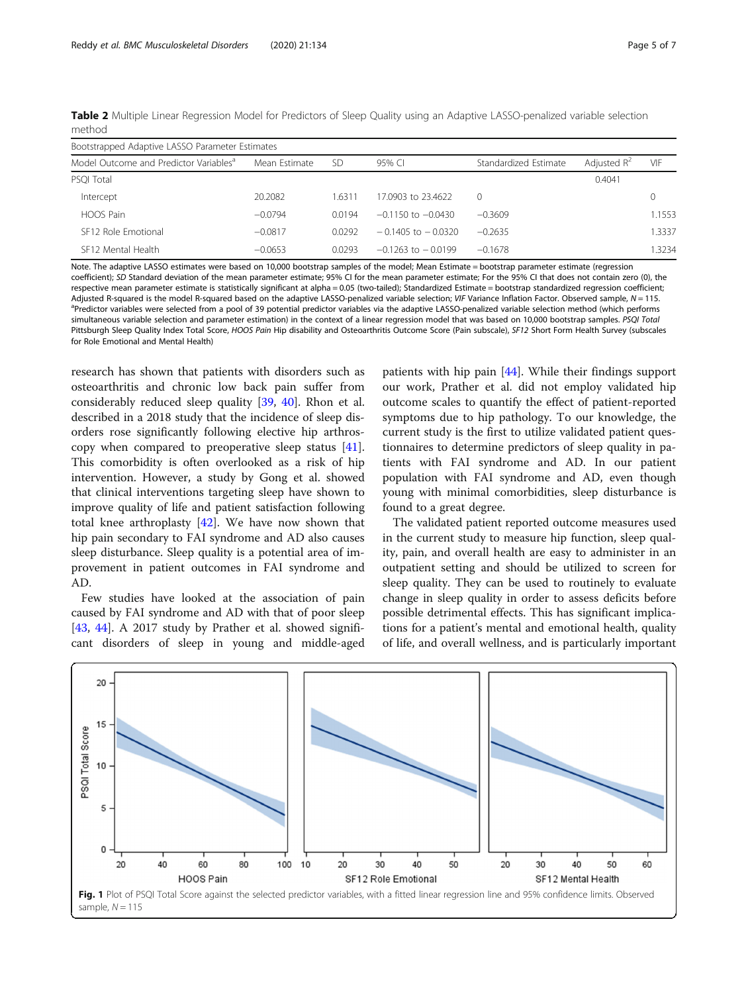<span id="page-4-0"></span>Table 2 Multiple Linear Regression Model for Predictors of Sleep Quality using an Adaptive LASSO-penalized variable selection method

| Bootstrapped Adaptive LASSO Parameter Estimates    |               |           |                        |                       |                |        |  |  |  |
|----------------------------------------------------|---------------|-----------|------------------------|-----------------------|----------------|--------|--|--|--|
| Model Outcome and Predictor Variables <sup>a</sup> | Mean Estimate | <b>SD</b> | 95% CL                 | Standardized Estimate | Adjusted $R^2$ | VIF    |  |  |  |
| PSOI Total                                         |               |           |                        |                       | 0.4041         |        |  |  |  |
| Intercept                                          | 20.2082       | .6311     | 17,0903 to 23,4622     | $\Omega$              |                | 0      |  |  |  |
| HOOS Pain                                          | $-0.0794$     | 0.0194    | $-0.1150$ to $-0.0430$ | $-0.3609$             |                | 1.1553 |  |  |  |
| SE12 Role Emotional                                | $-0.0817$     | 0.0292    | $-0.1405$ to $-0.0320$ | $-0.2635$             |                | 1.3337 |  |  |  |
| SF12 Mental Health                                 | $-0.0653$     | 0.0293    | $-0.1263$ to $-0.0199$ | $-0.1678$             |                | 1.3234 |  |  |  |

Note. The adaptive LASSO estimates were based on 10,000 bootstrap samples of the model; Mean Estimate = bootstrap parameter estimate (regression coefficient); SD Standard deviation of the mean parameter estimate; 95% CI for the mean parameter estimate; For the 95% CI that does not contain zero (0), the respective mean parameter estimate is statistically significant at alpha = 0.05 (two-tailed); Standardized Estimate = bootstrap standardized regression coefficient; Adjusted R-squared is the model R-squared based on the adaptive LASSO-penalized variable selection; VIF Variance Inflation Factor. Observed sample, N = 115. <sup>a</sup>Predictor variables were selected from a pool of 39 potential predictor variables via the adaptive LASSO-penalized variable selection method (which performs simultaneous variable selection and parameter estimation) in the context of a linear regression model that was based on 10,000 bootstrap samples. PSQI Total Pittsburgh Sleep Quality Index Total Score, HOOS Pain Hip disability and Osteoarthritis Outcome Score (Pain subscale), SF12 Short Form Health Survey (subscales for Role Emotional and Mental Health)

research has shown that patients with disorders such as osteoarthritis and chronic low back pain suffer from considerably reduced sleep quality [\[39,](#page-6-0) [40](#page-6-0)]. Rhon et al. described in a 2018 study that the incidence of sleep disorders rose significantly following elective hip arthroscopy when compared to preoperative sleep status [\[41](#page-6-0)]. This comorbidity is often overlooked as a risk of hip intervention. However, a study by Gong et al. showed that clinical interventions targeting sleep have shown to improve quality of life and patient satisfaction following total knee arthroplasty  $[42]$  $[42]$ . We have now shown that hip pain secondary to FAI syndrome and AD also causes sleep disturbance. Sleep quality is a potential area of improvement in patient outcomes in FAI syndrome and AD.

Few studies have looked at the association of pain caused by FAI syndrome and AD with that of poor sleep [[43,](#page-6-0) [44\]](#page-6-0). A 2017 study by Prather et al. showed significant disorders of sleep in young and middle-aged patients with hip pain [\[44\]](#page-6-0). While their findings support our work, Prather et al. did not employ validated hip outcome scales to quantify the effect of patient-reported symptoms due to hip pathology. To our knowledge, the current study is the first to utilize validated patient questionnaires to determine predictors of sleep quality in patients with FAI syndrome and AD. In our patient population with FAI syndrome and AD, even though young with minimal comorbidities, sleep disturbance is found to a great degree.

The validated patient reported outcome measures used in the current study to measure hip function, sleep quality, pain, and overall health are easy to administer in an outpatient setting and should be utilized to screen for sleep quality. They can be used to routinely to evaluate change in sleep quality in order to assess deficits before possible detrimental effects. This has significant implications for a patient's mental and emotional health, quality of life, and overall wellness, and is particularly important

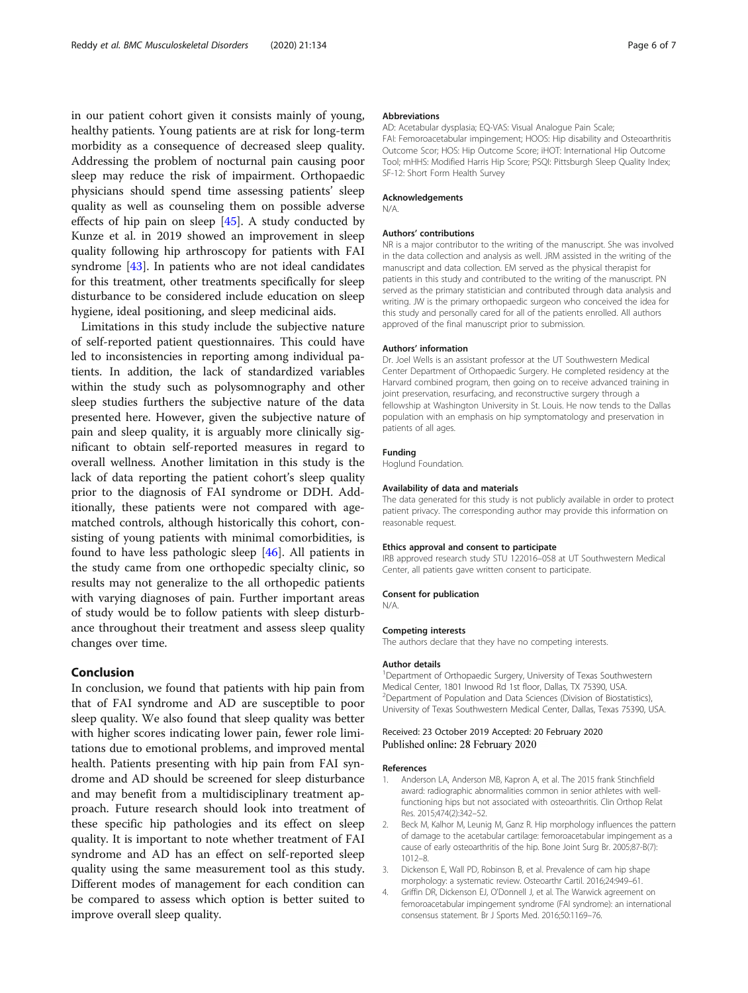<span id="page-5-0"></span>in our patient cohort given it consists mainly of young, healthy patients. Young patients are at risk for long-term morbidity as a consequence of decreased sleep quality. Addressing the problem of nocturnal pain causing poor sleep may reduce the risk of impairment. Orthopaedic physicians should spend time assessing patients' sleep quality as well as counseling them on possible adverse effects of hip pain on sleep [[45\]](#page-6-0). A study conducted by Kunze et al. in 2019 showed an improvement in sleep quality following hip arthroscopy for patients with FAI syndrome [[43](#page-6-0)]. In patients who are not ideal candidates for this treatment, other treatments specifically for sleep disturbance to be considered include education on sleep hygiene, ideal positioning, and sleep medicinal aids.

Limitations in this study include the subjective nature of self-reported patient questionnaires. This could have led to inconsistencies in reporting among individual patients. In addition, the lack of standardized variables within the study such as polysomnography and other sleep studies furthers the subjective nature of the data presented here. However, given the subjective nature of pain and sleep quality, it is arguably more clinically significant to obtain self-reported measures in regard to overall wellness. Another limitation in this study is the lack of data reporting the patient cohort's sleep quality prior to the diagnosis of FAI syndrome or DDH. Additionally, these patients were not compared with agematched controls, although historically this cohort, consisting of young patients with minimal comorbidities, is found to have less pathologic sleep [[46](#page-6-0)]. All patients in the study came from one orthopedic specialty clinic, so results may not generalize to the all orthopedic patients with varying diagnoses of pain. Further important areas of study would be to follow patients with sleep disturbance throughout their treatment and assess sleep quality changes over time.

#### Conclusion

In conclusion, we found that patients with hip pain from that of FAI syndrome and AD are susceptible to poor sleep quality. We also found that sleep quality was better with higher scores indicating lower pain, fewer role limitations due to emotional problems, and improved mental health. Patients presenting with hip pain from FAI syndrome and AD should be screened for sleep disturbance and may benefit from a multidisciplinary treatment approach. Future research should look into treatment of these specific hip pathologies and its effect on sleep quality. It is important to note whether treatment of FAI syndrome and AD has an effect on self-reported sleep quality using the same measurement tool as this study. Different modes of management for each condition can be compared to assess which option is better suited to improve overall sleep quality.

#### Abbreviations

AD: Acetabular dysplasia; EQ-VAS: Visual Analogue Pain Scale; FAI: Femoroacetabular impingement; HOOS: Hip disability and Osteoarthritis Outcome Scor; HOS: Hip Outcome Score; iHOT: International Hip Outcome Tool; mHHS: Modified Harris Hip Score; PSQI: Pittsburgh Sleep Quality Index; SF-12: Short Form Health Survey

#### Acknowledgements

N/A.

#### Authors' contributions

NR is a major contributor to the writing of the manuscript. She was involved in the data collection and analysis as well. JRM assisted in the writing of the manuscript and data collection. EM served as the physical therapist for patients in this study and contributed to the writing of the manuscript. PN served as the primary statistician and contributed through data analysis and writing. JW is the primary orthopaedic surgeon who conceived the idea for this study and personally cared for all of the patients enrolled. All authors approved of the final manuscript prior to submission.

#### Authors' information

Dr. Joel Wells is an assistant professor at the UT Southwestern Medical Center Department of Orthopaedic Surgery. He completed residency at the Harvard combined program, then going on to receive advanced training in joint preservation, resurfacing, and reconstructive surgery through a fellowship at Washington University in St. Louis. He now tends to the Dallas population with an emphasis on hip symptomatology and preservation in patients of all ages.

#### Funding

Hoglund Foundation.

#### Availability of data and materials

The data generated for this study is not publicly available in order to protect patient privacy. The corresponding author may provide this information on reasonable request.

#### Ethics approval and consent to participate

IRB approved research study STU 122016–058 at UT Southwestern Medical Center, all patients gave written consent to participate.

#### Consent for publication

N/A.

#### Competing interests

The authors declare that they have no competing interests.

#### Author details

<sup>1</sup>Department of Orthopaedic Surgery, University of Texas Southwestern Medical Center, 1801 Inwood Rd 1st floor, Dallas, TX 75390, USA. <sup>2</sup> Department of Population and Data Sciences (Division of Biostatistics) University of Texas Southwestern Medical Center, Dallas, Texas 75390, USA.

#### Received: 23 October 2019 Accepted: 20 February 2020 Published online: 28 February 2020

#### References

- Anderson LA, Anderson MB, Kapron A, et al. The 2015 frank Stinchfield award: radiographic abnormalities common in senior athletes with wellfunctioning hips but not associated with osteoarthritis. Clin Orthop Relat Res. 2015;474(2):342–52.
- 2. Beck M, Kalhor M, Leunig M, Ganz R. Hip morphology influences the pattern of damage to the acetabular cartilage: femoroacetabular impingement as a cause of early osteoarthritis of the hip. Bone Joint Surg Br. 2005;87-B(7): 1012–8.
- 3. Dickenson E, Wall PD, Robinson B, et al. Prevalence of cam hip shape morphology: a systematic review. Osteoarthr Cartil. 2016;24:949–61.
- 4. Griffin DR, Dickenson EJ, O'Donnell J, et al. The Warwick agreement on femoroacetabular impingement syndrome (FAI syndrome): an international consensus statement. Br J Sports Med. 2016;50:1169–76.